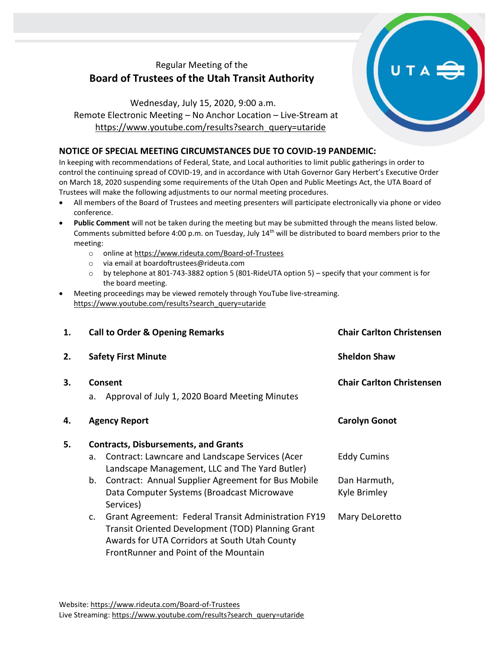# Regular Meeting of the **Board of Trustees of the Utah Transit Authority**

Wednesday, July 15, 2020, 9:00 a.m. Remote Electronic Meeting – No Anchor Location – Live-Stream at [https://www.youtube.com/results?search\\_query=utaride](https://www.youtube.com/results?search_query=utaride)

# **NOTICE OF SPECIAL MEETING CIRCUMSTANCES DUE TO COVID-19 PANDEMIC:**

In keeping with recommendations of Federal, State, and Local authorities to limit public gatherings in order to control the continuing spread of COVID-19, and in accordance with Utah Governor Gary Herbert's Executive Order on March 18, 2020 suspending some requirements of the Utah Open and Public Meetings Act, the UTA Board of Trustees will make the following adjustments to our normal meeting procedures.

- All members of the Board of Trustees and meeting presenters will participate electronically via phone or video conference.
- **Public Comment** will not be taken during the meeting but may be submitted through the means listed below. Comments submitted before 4:00 p.m. on Tuesday, July 14th will be distributed to board members prior to the meeting:
	- o online at<https://www.rideuta.com/Board-of-Trustees>
	- o via email at [boardoftrustees@rideuta.com](mailto:boardoftrustees@rideuta.com)
	- o by telephone at 801-743-3882 option 5 (801-RideUTA option 5) specify that your comment is for the board meeting.
- Meeting proceedings may be viewed remotely through YouTube live-streaming. [https://www.youtube.com/results?search\\_query=utaride](https://www.youtube.com/results?search_query=utaride)

| 1. | <b>Call to Order &amp; Opening Remarks</b>                      |                                                                                                                                                                                                     | <b>Chair Carlton Christensen</b> |
|----|-----------------------------------------------------------------|-----------------------------------------------------------------------------------------------------------------------------------------------------------------------------------------------------|----------------------------------|
| 2. |                                                                 | <b>Safety First Minute</b>                                                                                                                                                                          | <b>Sheldon Shaw</b>              |
| 3. | Consent<br>Approval of July 1, 2020 Board Meeting Minutes<br>a. |                                                                                                                                                                                                     | <b>Chair Carlton Christensen</b> |
| 4. |                                                                 | <b>Agency Report</b>                                                                                                                                                                                | <b>Carolyn Gonot</b>             |
| 5. | <b>Contracts, Disbursements, and Grants</b>                     |                                                                                                                                                                                                     |                                  |
|    | a.                                                              | Contract: Lawncare and Landscape Services (Acer<br>Landscape Management, LLC and The Yard Butler)                                                                                                   | <b>Eddy Cumins</b>               |
|    | b.                                                              | Contract: Annual Supplier Agreement for Bus Mobile<br>Data Computer Systems (Broadcast Microwave<br>Services)                                                                                       | Dan Harmuth,<br>Kyle Brimley     |
|    | c.                                                              | Grant Agreement: Federal Transit Administration FY19<br>Transit Oriented Development (TOD) Planning Grant<br>Awards for UTA Corridors at South Utah County<br>FrontRunner and Point of the Mountain | Mary DeLoretto                   |